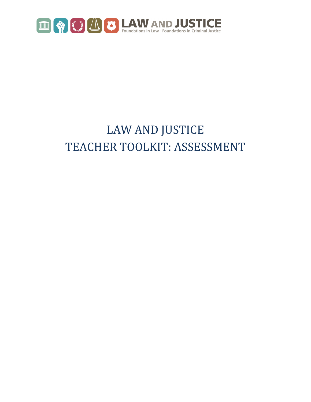

## LAW AND JUSTICE TEACHER TOOLKIT: ASSESSMENT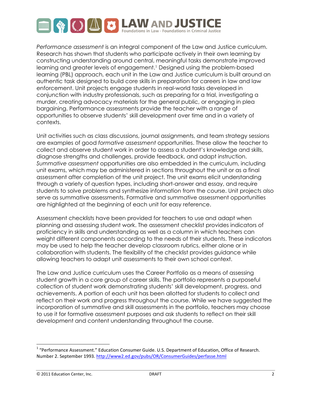

*Performance assessment* is an integral component of the Law and Justice curriculum. Research has shown that students who participate actively in their own learning by constructing understanding around central, meaningful tasks demonstrate improved learning and greater levels of engagement.1 Designed using the problem-based learning (PBL) approach, each unit in the Law and Justice curriculum is built around an authentic task designed to build core skills in preparation for careers in law and law enforcement. Unit projects engage students in real-world tasks developed in conjunction with industry professionals, such as preparing for a trial, investigating a murder, creating advocacy materials for the general public, or engaging in plea bargaining. Performance assessments provide the teacher with a range of opportunities to observe students' skill development over time and in a variety of contexts.

Unit activities such as class discussions, journal assignments, and team strategy sessions are examples of good *formative assessment* opportunities. These allow the teacher to collect and observe student work in order to assess a student's knowledge and skills, diagnose strengths and challenges, provide feedback, and adapt instruction. *Summative assessment* opportunities are also embedded in the curriculum, including unit exams, which may be administered in sections throughout the unit or as a final assessment after completion of the unit project. The unit exams elicit understanding through a variety of question types, including short-answer and essay, and require students to solve problems and synthesize information from the course. Unit projects also serve as summative assessments. Formative and summative assessment opportunities are highlighted at the beginning of each unit for easy reference.

Assessment checklists have been provided for teachers to use and adapt when planning and assessing student work. The assessment checklist provides indicators of proficiency in skills and understanding as well as a column in which teachers can weight different components according to the needs of their students. These indicators may be used to help the teacher develop classroom rubrics, either alone or in collaboration with students. The flexibility of the checklist provides guidance while allowing teachers to adapt unit assessments to their own school context.

The Law and Justice curriculum uses the Career Portfolio as a means of assessing student growth in a core group of career skills. The portfolio represents a purposeful collection of student work demonstrating students' skill development, progress, and achievements. A portion of each unit has been allotted for students to collect and reflect on their work and progress throughout the course. While we have suggested the incorporation of summative and skill assessments in the portfolio, teachers may choose to use it for formative assessment purposes and ask students to reflect on their skill development and content understanding throughout the course.

©!2011!Education!Center,!Inc. DRAFT 2

!!!!!!!!!!!!!!!!!!!!!!!!!!!!!!!!!!!!!!!!!!!!!!!!!!!!!!!!!!!

 $1$  "Performance Assessment." Education Consumer Guide. U.S. Department of Education, Office of Research. Number 2. September 1993. http://www2.ed.gov/pubs/OR/ConsumerGuides/perfasse.html